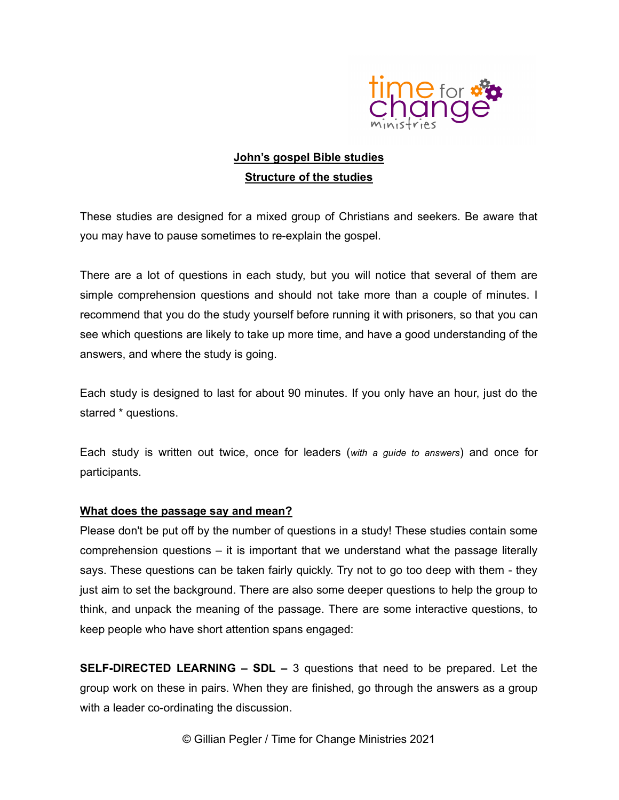

## John's gospel Bible studies **Structure of the studies**

These studies are designed for a mixed group of Christians and seekers. Be aware that you may have to pause sometimes to re-explain the gospel.

There are a lot of questions in each study, but you will notice that several of them are simple comprehension questions and should not take more than a couple of minutes. I recommend that you do the study yourself before running it with prisoners, so that you can see which questions are likely to take up more time, and have a good understanding of the answers, and where the study is going.

Each study is designed to last for about 90 minutes. If you only have an hour, just do the starred \* questions.

Each study is written out twice, once for leaders (with a guide to answers) and once for participants.

## What does the passage say and mean?

Please don't be put off by the number of questions in a study! These studies contain some comprehension questions – it is important that we understand what the passage literally says. These questions can be taken fairly quickly. Try not to go too deep with them - they just aim to set the background. There are also some deeper questions to help the group to think, and unpack the meaning of the passage. There are some interactive questions, to keep people who have short attention spans engaged:

SELF-DIRECTED LEARNING – SDL – 3 questions that need to be prepared. Let the group work on these in pairs. When they are finished, go through the answers as a group with a leader co-ordinating the discussion.

© Gillian Pegler / Time for Change Ministries 2021